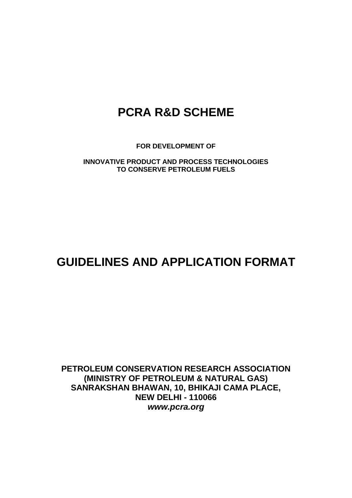# **PCRA R&D SCHEME**

**FOR DEVELOPMENT OF**

**INNOVATIVE PRODUCT AND PROCESS TECHNOLOGIES TO CONSERVE PETROLEUM FUELS**

# **GUIDELINES AND APPLICATION FORMAT**

**PETROLEUM CONSERVATION RESEARCH ASSOCIATION (MINISTRY OF PETROLEUM & NATURAL GAS) SANRAKSHAN BHAWAN, 10, BHIKAJI CAMA PLACE, NEW DELHI - 110066** *www.pcra.org*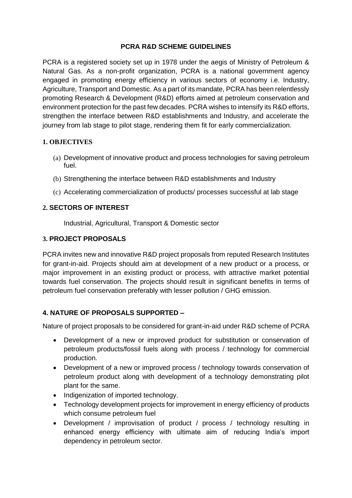#### **PCRA R&D SCHEME GUIDELINES**

PCRA is a registered society set up in 1978 under the aegis of Ministry of Petroleum & Natural Gas. As a non-profit organization, PCRA is a national government agency engaged in promoting energy efficiency in various sectors of economy i.e. Industry, Agriculture, Transport and Domestic. As a part of its mandate, PCRA has been relentlessly promoting Research & Development (R&D) efforts aimed at petroleum conservation and environment protection for the past few decades. PCRA wishes to intensify its R&D efforts, strengthen the interface between R&D establishments and Industry, and accelerate the journey from lab stage to pilot stage, rendering them fit for early commercialization.

#### **1. OBJECTIVES**

- (a) Development of innovative product and process technologies for saving petroleum fuel.
- (b) Strengthening the interface between R&D establishments and Industry
- (c) Accelerating commercialization of products/ processes successful at lab stage

### **2. SECTORS OF INTEREST**

Industrial, Agricultural, Transport & Domestic sector

### **3. PROJECT PROPOSALS**

PCRA invites new and innovative R&D project proposals from reputed Research Institutes for grant-in-aid. Projects should aim at development of a new product or a process, or major improvement in an existing product or process, with attractive market potential towards fuel conservation. The projects should result in significant benefits in terms of petroleum fuel conservation preferably with lesser pollution / GHG emission.

## **4. NATURE OF PROPOSALS SUPPORTED –**

Nature of project proposals to be considered for grant-in-aid under R&D scheme of PCRA

- Development of a new or improved product for substitution or conservation of petroleum products/fossil fuels along with process / technology for commercial production.
- Development of a new or improved process / technology towards conservation of petroleum product along with development of a technology demonstrating pilot plant for the same.
- Indigenization of imported technology.
- Technology development projects for improvement in energy efficiency of products which consume petroleum fuel
- Development / improvisation of product / process / technology resulting in enhanced energy efficiency with ultimate aim of reducing India's import dependency in petroleum sector.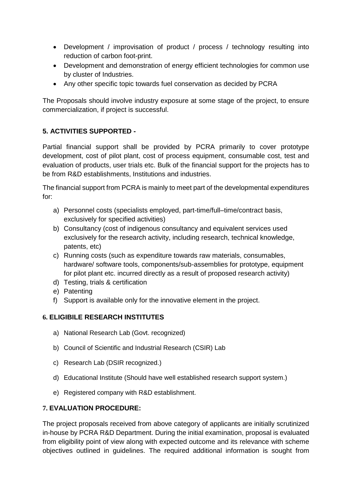- Development / improvisation of product / process / technology resulting into reduction of carbon foot-print.
- Development and demonstration of energy efficient technologies for common use by cluster of Industries.
- Any other specific topic towards fuel conservation as decided by PCRA

The Proposals should involve industry exposure at some stage of the project, to ensure commercialization, if project is successful.

## **5. ACTIVITIES SUPPORTED -**

Partial financial support shall be provided by PCRA primarily to cover prototype development, cost of pilot plant, cost of process equipment, consumable cost, test and evaluation of products, user trials etc. Bulk of the financial support for the projects has to be from R&D establishments, Institutions and industries.

The financial support from PCRA is mainly to meet part of the developmental expenditures for:

- a) Personnel costs (specialists employed, part-time/full–time/contract basis, exclusively for specified activities)
- b) Consultancy (cost of indigenous consultancy and equivalent services used exclusively for the research activity, including research, technical knowledge, patents, etc)
- c) Running costs (such as expenditure towards raw materials, consumables, hardware/ software tools, components/sub-assemblies for prototype, equipment for pilot plant etc. incurred directly as a result of proposed research activity)
- d) Testing, trials & certification
- e) Patenting
- f) Support is available only for the innovative element in the project.

## **6. ELIGIBILE RESEARCH INSTITUTES**

- a) National Research Lab (Govt. recognized)
- b) Council of Scientific and Industrial Research (CSIR) Lab
- c) Research Lab (DSIR recognized.)
- d) Educational Institute (Should have well established research support system.)
- e) Registered company with R&D establishment.

## **7. EVALUATION PROCEDURE:**

The project proposals received from above category of applicants are initially scrutinized in-house by PCRA R&D Department. During the initial examination, proposal is evaluated from eligibility point of view along with expected outcome and its relevance with scheme objectives outlined in guidelines. The required additional information is sought from